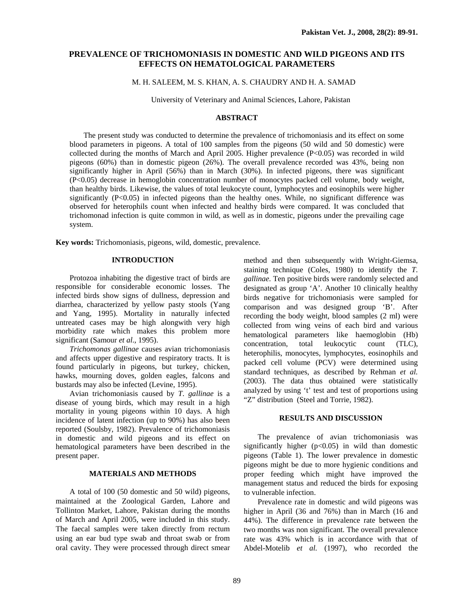# **PREVALENCE OF TRICHOMONIASIS IN DOMESTIC AND WILD PIGEONS AND ITS EFFECTS ON HEMATOLOGICAL PARAMETERS**

### M. H. SALEEM, M. S. KHAN, A. S. CHAUDRY AND H. A. SAMAD

University of Veterinary and Animal Sciences, Lahore, Pakistan

### **ABSTRACT**

 The present study was conducted to determine the prevalence of trichomoniasis and its effect on some blood parameters in pigeons. A total of 100 samples from the pigeons (50 wild and 50 domestic) were collected during the months of March and April 2005. Higher prevalence (P<0.05) was recorded in wild pigeons (60%) than in domestic pigeon (26%). The overall prevalence recorded was 43%, being non significantly higher in April (56%) than in March (30%). In infected pigeons, there was significant (P<0.05) decrease in hemoglobin concentration number of monocytes packed cell volume, body weight, than healthy birds. Likewise, the values of total leukocyte count, lymphocytes and eosinophils were higher significantly (P<0.05) in infected pigeons than the healthy ones. While, no significant difference was observed for heterophils count when infected and healthy birds were compared. It was concluded that trichomonad infection is quite common in wild, as well as in domestic, pigeons under the prevailing cage system.

**Key words:** Trichomoniasis, pigeons, wild, domestic, prevalence.

### **INTRODUCTION**

 Protozoa inhabiting the digestive tract of birds are responsible for considerable economic losses. The infected birds show signs of dullness, depression and diarrhea, characterized by yellow pasty stools (Yang and Yang, 1995). Mortality in naturally infected untreated cases may be high alongwith very high morbidity rate which makes this problem more significant (Samour *et al*., 1995).

*Trichomonas gallinae* causes avian trichomoniasis and affects upper digestive and respiratory tracts. It is found particularly in pigeons, but turkey, chicken, hawks, mourning doves, golden eagles, falcons and bustards may also be infected (Levine, 1995).

Avian trichomoniasis caused by *T*. *gallinae* is a disease of young birds, which may result in a high mortality in young pigeons within 10 days. A high incidence of latent infection (up to 90%) has also been reported (Soulsby, 1982). Prevalence of trichomoniasis in domestic and wild pigeons and its effect on hematological parameters have been described in the present paper.

#### **MATERIALS AND METHODS**

A total of 100 (50 domestic and 50 wild) pigeons, maintained at the Zoological Garden, Lahore and Tollinton Market, Lahore, Pakistan during the months of March and April 2005, were included in this study. The faecal samples were taken directly from rectum using an ear bud type swab and throat swab or from oral cavity. They were processed through direct smear

method and then subsequently with Wright-Giemsa, staining technique (Coles, 1980) to identify the *T*. *gallinae.* Ten positive birds were randomly selected and designated as group 'A'. Another 10 clinically healthy birds negative for trichomoniasis were sampled for comparison and was designed group 'B'. After recording the body weight, blood samples (2 ml) were collected from wing veins of each bird and various hematological parameters like haemoglobin (Hb) concentration, total leukocytic count (TLC), heterophilis, monocytes, lymphocytes, eosinophils and packed cell volume (PCV) were determined using standard techniques, as described by Rehman *et al.* (2003). The data thus obtained were statistically analyzed by using 't' test and test of proportions using "Z" distribution (Steel and Torrie, 1982).

## **RESULTS AND DISCUSSION**

The prevalence of avian trichomoniasis was significantly higher  $(p<0.05)$  in wild than domestic pigeons (Table 1). The lower prevalence in domestic pigeons might be due to more hygienic conditions and proper feeding which might have improved the management status and reduced the birds for exposing to vulnerable infection.

Prevalence rate in domestic and wild pigeons was higher in April (36 and 76%) than in March (16 and 44%). The difference in prevalence rate between the two months was non significant. The overall prevalence rate was 43% which is in accordance with that of Abdel-Motelib *et al.* (1997), who recorded the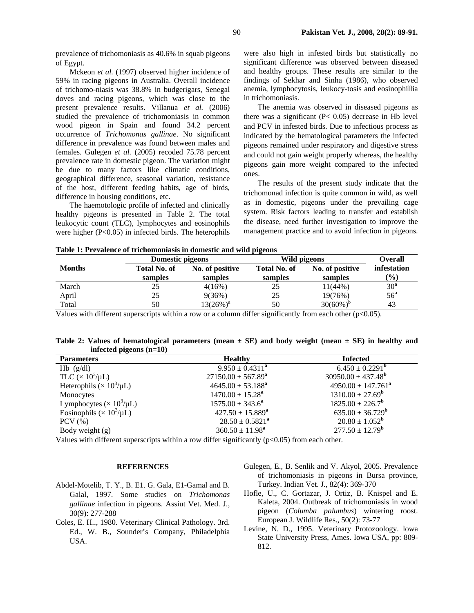prevalence of trichomoniasis as 40.6% in squab pigeons of Egypt.

Mckeon *et al.* (1997) observed higher incidence of 59% in racing pigeons in Australia. Overall incidence of trichomo-niasis was 38.8% in budgerigars, Senegal doves and racing pigeons, which was close to the present prevalence results. Villanua *et al.* (2006) studied the prevalence of trichomoniasis in common wood pigeon in Spain and found 34.2 percent occurrence of *Trichomonas gallinae*. No significant difference in prevalence was found between males and females. Gulegen *et al.* (2005) recoded 75.78 percent prevalence rate in domestic pigeon. The variation might be due to many factors like climatic conditions, geographical difference, seasonal variation, resistance of the host, different feeding habits, age of birds, difference in housing conditions, etc.

The haemotologic profile of infected and clinically healthy pigeons is presented in Table 2. The total leukocytic count (TLC), lymphocytes and eosinophils were higher (P<0.05) in infected birds. The heterophils were also high in infested birds but statistically no significant difference was observed between diseased and healthy groups. These results are similar to the findings of Sekhar and Sinha (1986), who observed anemia, lymphocytosis, leukocy-tosis and eosinophillia in trichomoniasis.

The anemia was observed in diseased pigeons as there was a significant  $(P< 0.05)$  decrease in Hb level and PCV in infested birds. Due to infectious process as indicated by the hematological parameters the infected pigeons remained under respiratory and digestive stress and could not gain weight properly whereas, the healthy pigeons gain more weight compared to the infected ones.

The results of the present study indicate that the trichomonad infection is quite common in wild, as well as in domestic, pigeons under the prevailing cage system. Risk factors leading to transfer and establish the disease, need further investigation to improve the management practice and to avoid infection in pigeons.

| Table 1: Prevalence of trichomoniasis in domestic and wild pigeons |  |  |  |  |  |  |  |  |  |  |  |  |  |  |
|--------------------------------------------------------------------|--|--|--|--|--|--|--|--|--|--|--|--|--|--|
|--------------------------------------------------------------------|--|--|--|--|--|--|--|--|--|--|--|--|--|--|

|               | Domestic pigeons        |                            | Wild pigeons                   | <b>Overall</b>             |                       |
|---------------|-------------------------|----------------------------|--------------------------------|----------------------------|-----------------------|
| <b>Months</b> | Total No. of<br>samples | No. of positive<br>samples | <b>Total No. of</b><br>samples | No. of positive<br>samples | infestation<br>$(\%)$ |
| March         | 25                      | 4(16%)                     | 25                             | $11(44\%)$                 | 30 <sup>a</sup>       |
| April         | 25                      | 9(36%)                     | 25                             | 19(76%)                    | 56 <sup>a</sup>       |
| Total         | 50                      | $13(26\%)^a$               | 50                             | $30(60\%)^b$               | 43                    |

Values with different superscripts within a row or a column differ significantly from each other (p<0.05).

**Table 2: Values of hematological parameters (mean ± SE) and body weight (mean ± SE) in healthy and infected pigeons (n=10)** 

| <b>Parameters</b>                   | <b>Healthy</b>                | <b>Infected</b>                  |
|-------------------------------------|-------------------------------|----------------------------------|
| $Hb$ (g/dl)                         | $9.950 \pm 0.4311^a$          | $6.450 \pm 0.2291^{\rm b}$       |
| TLC $(\times 10^3/\mu L)$           | $27150.00 \pm 567.89^{\rm a}$ | $30950.00 \pm 437.48^{\rm b}$    |
| Heterophils ( $\times 10^3/\mu L$ ) | $4645.00 \pm 53.188^{\rm a}$  | $4950.00 \pm 147.761^{\circ}$    |
| Monocytes                           | $1470.00 \pm 15.28^a$         | $1310.00 \pm 27.69^{\mathrm{b}}$ |
| Lymphocytes ( $\times 10^3/\mu L$ ) | $1575.00 \pm 343.6^a$         | $1825.00 \pm 226.7^{\rm b}$      |
| Eosinophils ( $\times 10^3/\mu L$ ) | $427.50 \pm 15.889^a$         | $635.00 \pm 36.729^{\rm b}$      |
| $PCV$ $(\% )$                       | $28.50 \pm 0.5821^{\rm a}$    | $20.80 \pm 1.052^{\rm b}$        |
| Body weight $(g)$                   | $360.50 \pm 11.98^a$          | $277.50 \pm 12.79^{\mathrm{b}}$  |

Values with different superscripts within a row differ significantly ( $p<0.05$ ) from each other.

#### **REFERENCES**

- Abdel-Motelib, T. Y., B. E1. G. Gala, E1-Gamal and B. Galal, 1997. Some studies on *Trichomonas gallinae* infection in pigeons. Assiut Vet. Med. J., 30(9): 277-288
- Coles, E. H.., 1980. Veterinary Clinical Pathology. 3rd. Ed., W. B., Sounder's Company, Philadelphia USA.
- Gulegen, E., B. Senlik and V. Akyol, 2005. Prevalence of trichomoniasis in pigeons in Bursa province, Turkey. Indian Vet. J., 82(4): 369-370
- Hofle, U., C. Gortazar, J. Ortiz, B. Knispel and E. Kaleta, 2004. Outbreak of trichomoniasis in wood pigeon (*Columba palumbus*) wintering roost. European J. Wildlife Res., 50(2): 73-77
- Levine, N. D., 1995. Veterinary Protozoology. lowa State University Press, Ames. Iowa USA, pp: 809- 812.